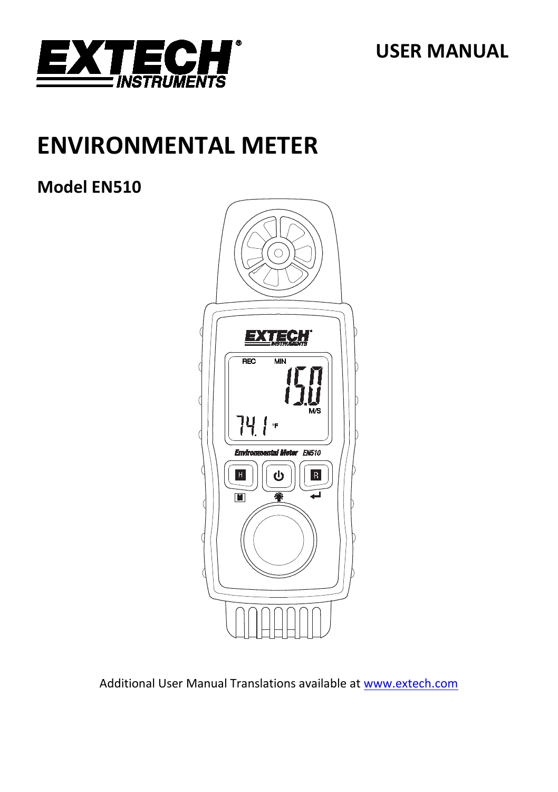

**USER MANUAL**

# **ENVIRONMENTAL METER**

# **Model EN510**



Additional User Manual Translations available at [www.extech.com](http://www.extech.com/)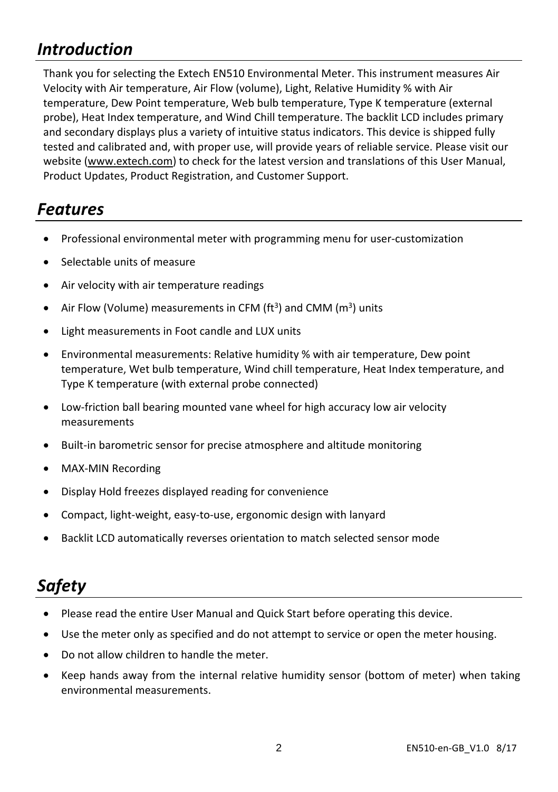# *Introduction*

Thank you for selecting the Extech EN510 Environmental Meter. This instrument measures Air Velocity with Air temperature, Air Flow (volume), Light, Relative Humidity % with Air temperature, Dew Point temperature, Web bulb temperature, Type K temperature (external probe), Heat Index temperature, and Wind Chill temperature. The backlit LCD includes primary and secondary displays plus a variety of intuitive status indicators. This device is shipped fully tested and calibrated and, with proper use, will provide years of reliable service. Please visit our website [\(www.extech.com\)](http://www.extech.com/) to check for the latest version and translations of this User Manual, Product Updates, Product Registration, and Customer Support.

# *Features*

- Professional environmental meter with programming menu for user-customization
- Selectable units of measure
- Air velocity with air temperature readings
- Air Flow (Volume) measurements in CFM ( $ft<sup>3</sup>$ ) and CMM ( $m<sup>3</sup>$ ) units
- Light measurements in Foot candle and LUX units
- Environmental measurements: Relative humidity % with air temperature, Dew point temperature, Wet bulb temperature, Wind chill temperature, Heat Index temperature, and Type K temperature (with external probe connected)
- Low-friction ball bearing mounted vane wheel for high accuracy low air velocity measurements
- Built-in barometric sensor for precise atmosphere and altitude monitoring
- MAX-MIN Recording
- Display Hold freezes displayed reading for convenience
- Compact, light-weight, easy-to-use, ergonomic design with lanyard
- Backlit LCD automatically reverses orientation to match selected sensor mode

# *Safety*

- Please read the entire User Manual and Quick Start before operating this device.
- Use the meter only as specified and do not attempt to service or open the meter housing.
- Do not allow children to handle the meter.
- Keep hands away from the internal relative humidity sensor (bottom of meter) when taking environmental measurements.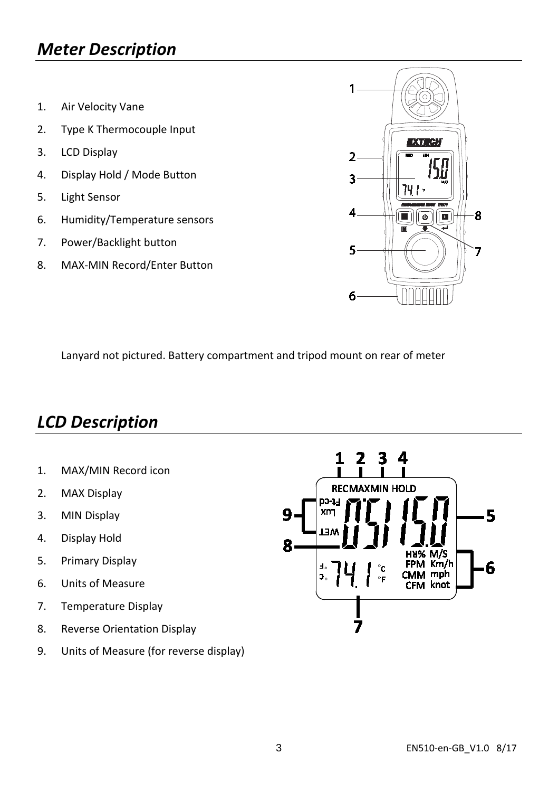# *Meter Description*

- 1. Air Velocity Vane
- 2. Type K Thermocouple Input
- 3. LCD Display
- 4. Display Hold / Mode Button
- 5. Light Sensor
- 6. Humidity/Temperature sensors
- 7. Power/Backlight button
- 8. MAX-MIN Record/Enter Button



Lanyard not pictured. Battery compartment and tripod mount on rear of meter

### *LCD Description*

- 1. MAX/MIN Record icon
- 2. MAX Display
- 3. MIN Display
- 4. Display Hold
- 5. Primary Display
- 6. Units of Measure
- 7. Temperature Display
- 8. Reverse Orientation Display
- 9. Units of Measure (for reverse display)

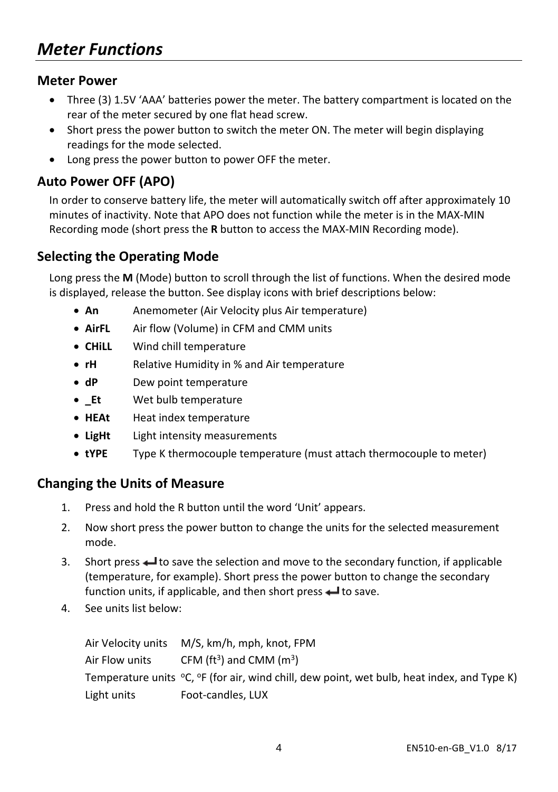#### **Meter Power**

- Three (3) 1.5V 'AAA' batteries power the meter. The battery compartment is located on the rear of the meter secured by one flat head screw.
- Short press the power button to switch the meter ON. The meter will begin displaying readings for the mode selected.
- Long press the power button to power OFF the meter.

#### **Auto Power OFF (APO)**

In order to conserve battery life, the meter will automatically switch off after approximately 10 minutes of inactivity. Note that APO does not function while the meter is in the MAX-MIN Recording mode (short press the **R** button to access the MAX-MIN Recording mode).

#### **Selecting the Operating Mode**

Long press the **M** (Mode) button to scroll through the list of functions. When the desired mode is displayed, release the button. See display icons with brief descriptions below:

- **An** Anemometer (Air Velocity plus Air temperature)
- **AirFL** Air flow (Volume) in CFM and CMM units
- **CHiLL** Wind chill temperature
- **rH** Relative Humidity in % and Air temperature
- **dP** Dew point temperature
- **\_Et** Wet bulb temperature
- **HEAt** Heat index temperature
- **LigHt** Light intensity measurements
- **tYPE** Type K thermocouple temperature (must attach thermocouple to meter)

#### **Changing the Units of Measure**

- 1. Press and hold the R button until the word 'Unit' appears.
- 2. Now short press the power button to change the units for the selected measurement mode.
- 3. Short press  $\triangleq$  to save the selection and move to the secondary function, if applicable (temperature, for example). Short press the power button to change the secondary function units, if applicable, and then short press  $\leftarrow$  to save.
- 4. See units list below:

Air Velocity units M/S, km/h, mph, knot, FPM Air Flow units CFM ( $\text{ft}^3$ ) and CMM ( $\text{m}^3$ ) Temperature units  $\degree$ C,  $\degree$ F (for air, wind chill, dew point, wet bulb, heat index, and Type K) Light units Foot-candles, LUX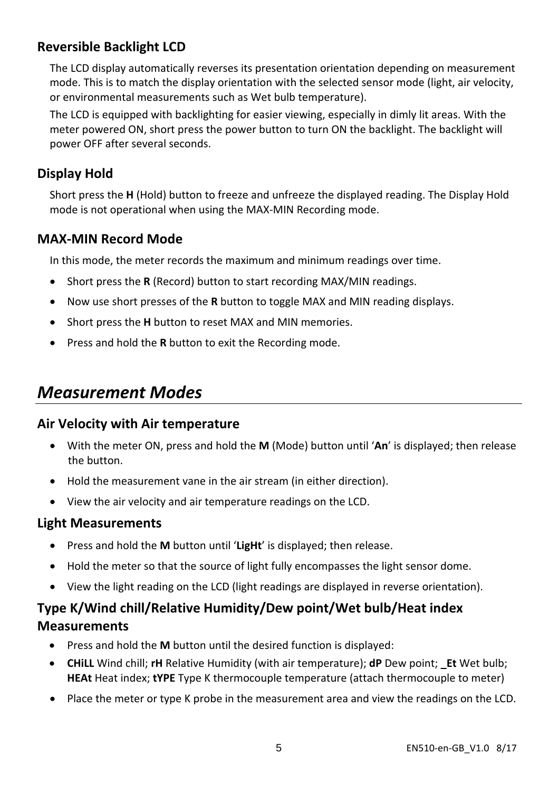### **Reversible Backlight LCD**

The LCD display automatically reverses its presentation orientation depending on measurement mode. This is to match the display orientation with the selected sensor mode (light, air velocity, or environmental measurements such as Wet bulb temperature).

The LCD is equipped with backlighting for easier viewing, especially in dimly lit areas. With the meter powered ON, short press the power button to turn ON the backlight. The backlight will power OFF after several seconds.

### **Display Hold**

Short press the **H** (Hold) button to freeze and unfreeze the displayed reading. The Display Hold mode is not operational when using the MAX-MIN Recording mode.

### **MAX-MIN Record Mode**

In this mode, the meter records the maximum and minimum readings over time.

- Short press the **R** (Record) button to start recording MAX/MIN readings.
- Now use short presses of the **R** button to toggle MAX and MIN reading displays.
- Short press the **H** button to reset MAX and MIN memories.
- Press and hold the **R** button to exit the Recording mode.

# *Measurement Modes*

#### **Air Velocity with Air temperature**

- With the meter ON, press and hold the **M** (Mode) button until '**An**' is displayed; then release the button.
- Hold the measurement vane in the air stream (in either direction).
- View the air velocity and air temperature readings on the LCD.

#### **Light Measurements**

- Press and hold the **M** button until '**LigHt**' is displayed; then release.
- Hold the meter so that the source of light fully encompasses the light sensor dome.
- View the light reading on the LCD (light readings are displayed in reverse orientation).

### **Type K/Wind chill/Relative Humidity/Dew point/Wet bulb/Heat index Measurements**

- Press and hold the **M** button until the desired function is displayed:
- **CHiLL** Wind chill; **rH** Relative Humidity (with air temperature); **dP** Dew point; **\_Et** Wet bulb; **HEAt** Heat index; **tYPE** Type K thermocouple temperature (attach thermocouple to meter)
- Place the meter or type K probe in the measurement area and view the readings on the LCD.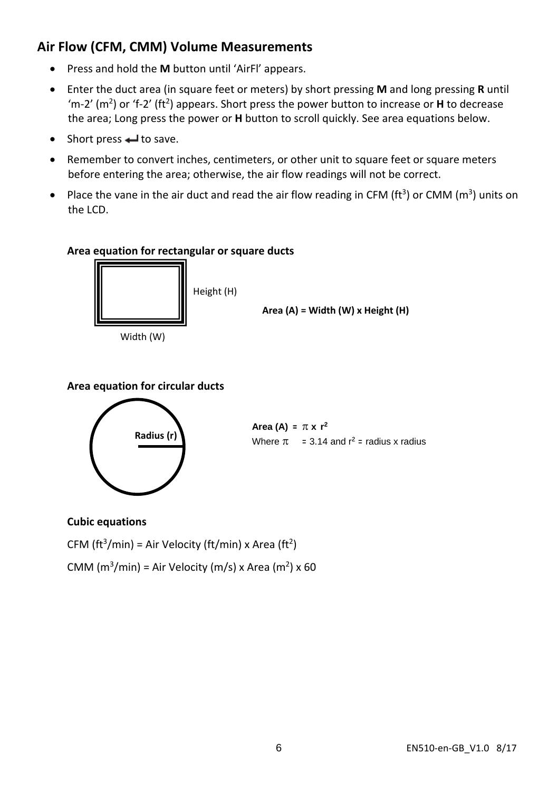### **Air Flow (CFM, CMM) Volume Measurements**

- Press and hold the **M** button until 'AirFl' appears.
- Enter the duct area (in square feet or meters) by short pressing **M** and long pressing **R** until 'm-2' (m2) or 'f-2' (ft2) appears. Short press the power button to increase or **H** to decrease the area; Long press the power or **H** button to scroll quickly. See area equations below.
- Short press  $\leftarrow$  to save.
- Remember to convert inches, centimeters, or other unit to square feet or square meters before entering the area; otherwise, the air flow readings will not be correct.
- Place the vane in the air duct and read the air flow reading in CFM ( $ft<sup>3</sup>$ ) or CMM ( $m<sup>3</sup>$ ) units on the LCD.

#### **Area equation for rectangular or square ducts**



Width (W)



#### **Area equation for circular ducts**



**Radius** (r) **Area** (A) =  $\pi \times r^2$ Where  $\pi = 3.14$  and  $r^2$  = radius x radius

#### **Cubic equations**

CFM (ft<sup>3</sup>/min) = Air Velocity (ft/min) x Area (ft<sup>2</sup>)

CMM ( $m^3/m$ in) = Air Velocity ( $m/s$ ) x Area ( $m^2$ ) x 60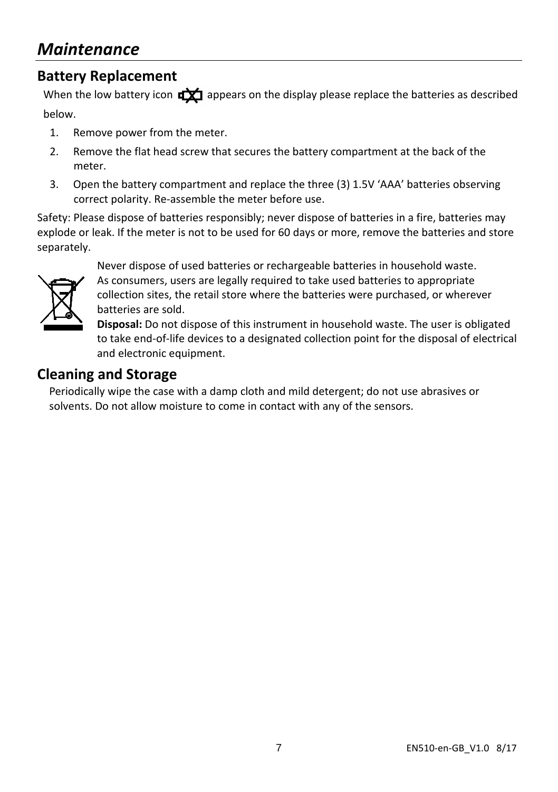### **Battery Replacement**

When the low battery icon  $\frac{d}{dx}$  appears on the display please replace the batteries as described below.

- 1. Remove power from the meter.
- 2. Remove the flat head screw that secures the battery compartment at the back of the meter.
- 3. Open the battery compartment and replace the three (3) 1.5V 'AAA' batteries observing correct polarity. Re-assemble the meter before use.

Safety: Please dispose of batteries responsibly; never dispose of batteries in a fire, batteries may explode or leak. If the meter is not to be used for 60 days or more, remove the batteries and store separately.



Never dispose of used batteries or rechargeable batteries in household waste. As consumers, users are legally required to take used batteries to appropriate collection sites, the retail store where the batteries were purchased, or wherever batteries are sold.

**Disposal:** Do not dispose of this instrument in household waste. The user is obligated to take end-of-life devices to a designated collection point for the disposal of electrical and electronic equipment.

### **Cleaning and Storage**

Periodically wipe the case with a damp cloth and mild detergent; do not use abrasives or solvents. Do not allow moisture to come in contact with any of the sensors.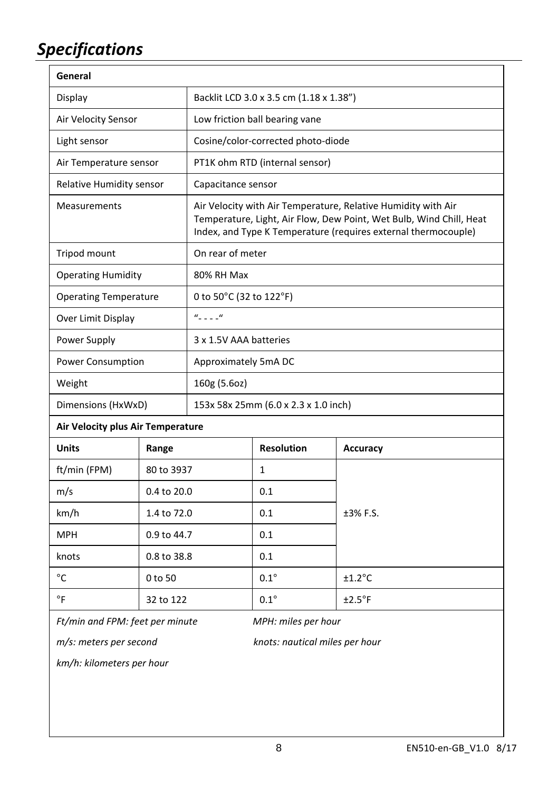# *Specifications*

| General                                                |             |                                                                                                                                                                                                        |                   |                 |  |
|--------------------------------------------------------|-------------|--------------------------------------------------------------------------------------------------------------------------------------------------------------------------------------------------------|-------------------|-----------------|--|
| Display                                                |             | Backlit LCD 3.0 x 3.5 cm (1.18 x 1.38")                                                                                                                                                                |                   |                 |  |
| Air Velocity Sensor                                    |             | Low friction ball bearing vane                                                                                                                                                                         |                   |                 |  |
| Light sensor                                           |             | Cosine/color-corrected photo-diode                                                                                                                                                                     |                   |                 |  |
| Air Temperature sensor                                 |             | PT1K ohm RTD (internal sensor)                                                                                                                                                                         |                   |                 |  |
| Relative Humidity sensor                               |             | Capacitance sensor                                                                                                                                                                                     |                   |                 |  |
| Measurements                                           |             | Air Velocity with Air Temperature, Relative Humidity with Air<br>Temperature, Light, Air Flow, Dew Point, Wet Bulb, Wind Chill, Heat<br>Index, and Type K Temperature (requires external thermocouple) |                   |                 |  |
| Tripod mount                                           |             | On rear of meter                                                                                                                                                                                       |                   |                 |  |
| <b>Operating Humidity</b>                              |             | 80% RH Max                                                                                                                                                                                             |                   |                 |  |
| <b>Operating Temperature</b>                           |             | 0 to 50°C (32 to 122°F)                                                                                                                                                                                |                   |                 |  |
| Over Limit Display                                     |             | $u_{\perp}$ $\perp$ $u$                                                                                                                                                                                |                   |                 |  |
| Power Supply                                           |             | 3 x 1.5V AAA batteries                                                                                                                                                                                 |                   |                 |  |
| Power Consumption                                      |             | Approximately 5mA DC                                                                                                                                                                                   |                   |                 |  |
| Weight                                                 |             | 160g (5.6oz)                                                                                                                                                                                           |                   |                 |  |
| Dimensions (HxWxD)                                     |             | 153x 58x 25mm (6.0 x 2.3 x 1.0 inch)                                                                                                                                                                   |                   |                 |  |
| Air Velocity plus Air Temperature                      |             |                                                                                                                                                                                                        |                   |                 |  |
| <b>Units</b>                                           | Range       |                                                                                                                                                                                                        | <b>Resolution</b> | Accuracy        |  |
| ft/min (FPM)                                           | 80 to 3937  |                                                                                                                                                                                                        | $\mathbf{1}$      |                 |  |
| m/s                                                    | 0.4 to 20.0 |                                                                                                                                                                                                        | 0.1               |                 |  |
| km/h                                                   | 1.4 to 72.0 |                                                                                                                                                                                                        | 0.1               | ±3% F.S.        |  |
| <b>MPH</b>                                             | 0.9 to 44.7 |                                                                                                                                                                                                        | 0.1               |                 |  |
| knots                                                  | 0.8 to 38.8 |                                                                                                                                                                                                        | 0.1               |                 |  |
| °C                                                     | 0 to 50     |                                                                                                                                                                                                        | $0.1^\circ$       | $±1.2$ °C       |  |
| °F                                                     | 32 to 122   |                                                                                                                                                                                                        | $0.1^\circ$       | $±2.5^{\circ}F$ |  |
| Ft/min and FPM: feet per minute<br>MPH: miles per hour |             |                                                                                                                                                                                                        |                   |                 |  |

*m/s: meters per second knots: nautical miles per hour*

*km/h: kilometers per hour*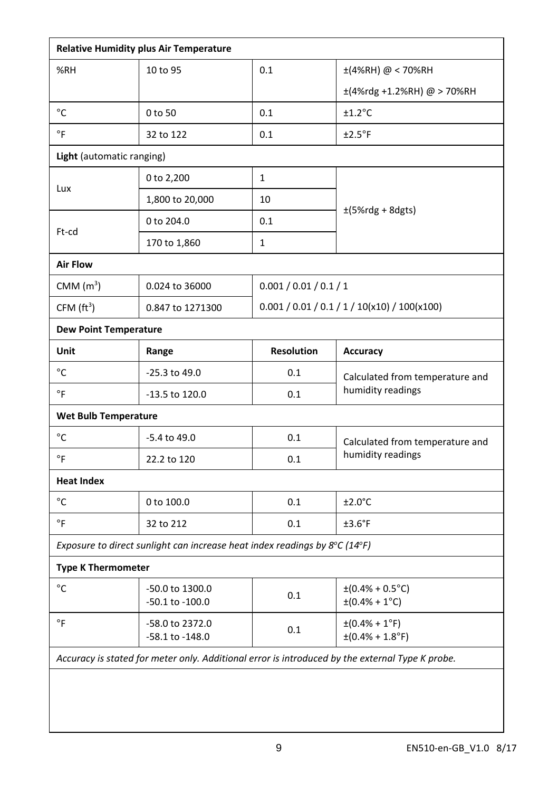|                                                                                                 | <b>Relative Humidity plus Air Temperature</b>                                                   |                   |                                                            |  |  |  |  |
|-------------------------------------------------------------------------------------------------|-------------------------------------------------------------------------------------------------|-------------------|------------------------------------------------------------|--|--|--|--|
| %RH                                                                                             | 10 to 95                                                                                        | 0.1               | ±(4%RH) @ < 70%RH                                          |  |  |  |  |
|                                                                                                 |                                                                                                 |                   | ±(4%rdg +1.2%RH) @ > 70%RH                                 |  |  |  |  |
| °C                                                                                              | 0 to 50                                                                                         | 0.1               | $±1.2$ °C                                                  |  |  |  |  |
| $\circ$ F                                                                                       | 32 to 122                                                                                       | 0.1               | $±2.5^{\circ}F$                                            |  |  |  |  |
| Light (automatic ranging)                                                                       |                                                                                                 |                   |                                                            |  |  |  |  |
| Lux                                                                                             | 0 to 2,200                                                                                      | $\mathbf{1}$      |                                                            |  |  |  |  |
|                                                                                                 | 1,800 to 20,000                                                                                 | 10                |                                                            |  |  |  |  |
|                                                                                                 | 0 to 204.0                                                                                      | 0.1               | $\pm$ (5%rdg + 8dgts)                                      |  |  |  |  |
| Ft-cd                                                                                           | 170 to 1,860                                                                                    | $\mathbf{1}$      |                                                            |  |  |  |  |
| <b>Air Flow</b>                                                                                 |                                                                                                 |                   |                                                            |  |  |  |  |
| CMM $(m^3)$                                                                                     | 0.024 to 36000                                                                                  |                   | 0.001 / 0.01 / 0.1 / 1                                     |  |  |  |  |
| CFM $(ft^3)$                                                                                    | 0.847 to 1271300                                                                                |                   | $0.001 / 0.01 / 0.1 / 1 / 10(x10) / 100(x100)$             |  |  |  |  |
| <b>Dew Point Temperature</b>                                                                    |                                                                                                 |                   |                                                            |  |  |  |  |
| Unit                                                                                            | Range                                                                                           | <b>Resolution</b> | Accuracy                                                   |  |  |  |  |
| $^{\circ}{\rm C}$                                                                               | -25.3 to 49.0                                                                                   | 0.1               | Calculated from temperature and                            |  |  |  |  |
| °F                                                                                              | -13.5 to 120.0                                                                                  | 0.1               | humidity readings                                          |  |  |  |  |
| <b>Wet Bulb Temperature</b>                                                                     |                                                                                                 |                   |                                                            |  |  |  |  |
| °C                                                                                              | -5.4 to 49.0                                                                                    | 0.1               | Calculated from temperature and                            |  |  |  |  |
| $^{\circ}$ F                                                                                    | 22.2 to 120                                                                                     | 0.1               | humidity readings                                          |  |  |  |  |
| <b>Heat Index</b>                                                                               |                                                                                                 |                   |                                                            |  |  |  |  |
| °C                                                                                              | 0 to 100.0                                                                                      | 0.1               | $±2.0^{\circ}$ C                                           |  |  |  |  |
| $\circ$ F                                                                                       | 32 to 212                                                                                       | 0.1               | $±3.6$ °F                                                  |  |  |  |  |
|                                                                                                 | Exposure to direct sunlight can increase heat index readings by $8^{\circ}$ C (14 $^{\circ}$ F) |                   |                                                            |  |  |  |  |
| <b>Type K Thermometer</b>                                                                       |                                                                                                 |                   |                                                            |  |  |  |  |
| °C                                                                                              | -50.0 to 1300.0<br>-50.1 to -100.0                                                              | 0.1               | $\pm (0.4\% + 0.5^{\circ}C)$<br>$\pm (0.4\% + 1\degree C)$ |  |  |  |  |
| $\circ$ F                                                                                       | -58.0 to 2372.0<br>-58.1 to -148.0                                                              | 0.1               | $\pm (0.4\% + 1\degree F)$<br>$\pm (0.4\% + 1.8$ °F)       |  |  |  |  |
| Accuracy is stated for meter only. Additional error is introduced by the external Type K probe. |                                                                                                 |                   |                                                            |  |  |  |  |
|                                                                                                 |                                                                                                 |                   |                                                            |  |  |  |  |
|                                                                                                 |                                                                                                 |                   |                                                            |  |  |  |  |
|                                                                                                 |                                                                                                 |                   |                                                            |  |  |  |  |